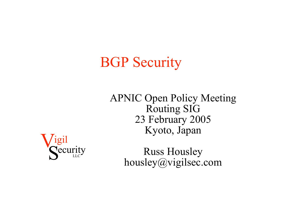# BGP Security

APNIC Open Policy Meeting Routing SIG 23 February 2005 Kyoto, Japan



Russ Housley housley@vigilsec.com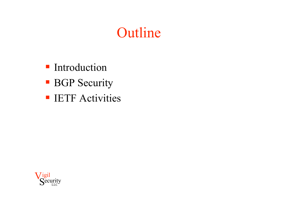### Outline

- **Introduction**
- **BGP** Security
- **IETF Activities**

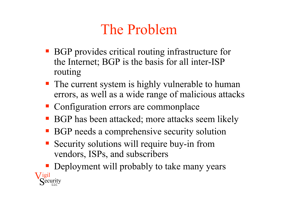# The Problem

- BGP provides critical routing infrastructure for the Internet; BGP is the basis for all inter-ISP routing
- The current system is highly vulnerable to human errors, as well as a wide range of malicious attacks
- Configuration errors are commonplace
- BGP has been attacked; more attacks seem likely
- BGP needs a comprehensive security solution
- Security solutions will require buy-in from vendors, ISPs, and subscribers

 $'191$ Security Deployment will probably to take many years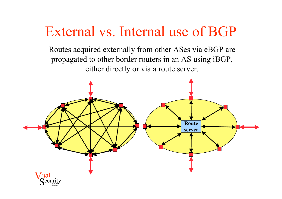#### External vs. Internal use of BGP

Routes acquired externally from other ASes via eBGP are propagated to other border routers in an AS using iBGP, either directly or via a route server.

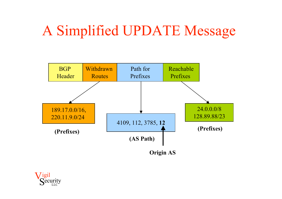## A Simplified UPDATE Message



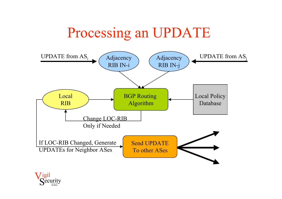### Processing an UPDATE



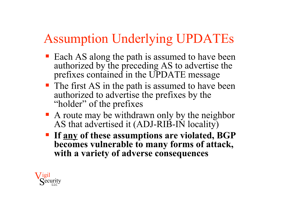### Assumption Underlying UPDATEs

- Each AS along the path is assumed to have been authorized by the preceding AS to advertise the prefixes contained in the UPDATE message
- The first AS in the path is assumed to have been authorized to advertise the prefixes by the "holder" of the prefixes
- A route may be withdrawn only by the neighbor AS that advertised it (ADJ-RIB-IN locality)
- **If any of these assumptions are violated, BGP becomes vulnerable to many forms of attack, with a variety of adverse consequences**

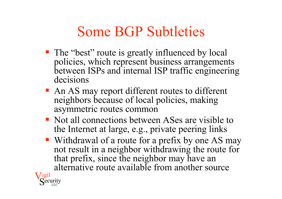## Some BGP Subtleties

- The "best" route is greatly influenced by local policies, which represent business arrangements between ISPs and internal ISP traffic engineering decisions
- An AS may report different routes to different neighbors because of local policies, making asymmetric routes common
- Not all connections between ASes are visible to the Internet at large, e.g., private peering links
- Withdrawal of a route for a prefix by one AS may not result in a neighbor withdrawing the route for that prefix, since the neighbor may have an alternative route available from another source

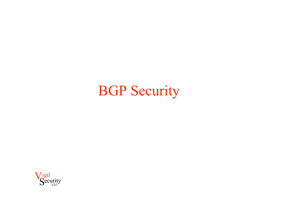## BGP Security

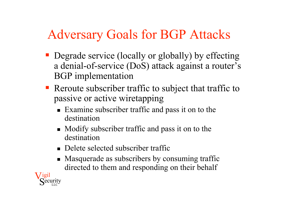#### Adversary Goals for BGP Attacks

- Degrade service (locally or globally) by effecting a denial-of-service (DoS) attack against a router's BGP implementation
- Reroute subscriber traffic to subject that traffic to passive or active wiretapping
	- Examine subscriber traffic and pass it on to the destination
	- Modify subscriber traffic and pass it on to the destination
	- Delete selected subscriber traffic
	- Masquerade as subscribers by consuming traffic directed to them and responding on their behalf

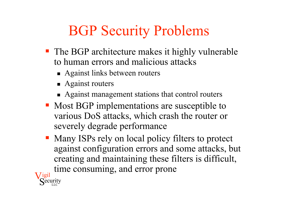# BGP Security Problems

- The BGP architecture makes it highly vulnerable to human errors and malicious attacks
	- Against links between routers
	- **Against routers**
	- Against management stations that control routers
- Most BGP implementations are susceptible to various DoS attacks, which crash the router or severely degrade performance
- Many ISPs rely on local policy filters to protect against configuration errors and some attacks, but creating and maintaining these filters is difficult, time consuming, and error prone

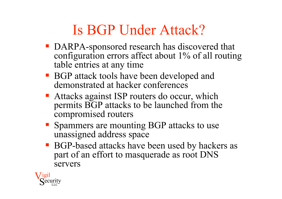## Is BGP Under Attack?

- DARPA-sponsored research has discovered that configuration errors affect about 1% of all routing table entries at any time
- BGP attack tools have been developed and demonstrated at hacker conferences
- Attacks against ISP routers do occur, which permits BGP attacks to be launched from the compromised routers
- Spammers are mounting BGP attacks to use unassigned address space
- BGP-based attacks have been used by hackers as part of an effort to masquerade as root DNS servers

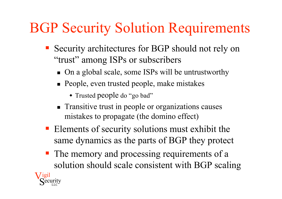# BGP Security Solution Requirements

- Security architectures for BGP should not rely on "trust" among ISPs or subscribers
	- On a global scale, some ISPs will be untrustworthy
	- People, even trusted people, make mistakes
		- Trusted people do "go bad"
	- **Transitive trust in people or organizations causes** mistakes to propagate (the domino effect)
- **Elements of security solutions must exhibit the** same dynamics as the parts of BGP they protect
- The memory and processing requirements of a solution should scale consistent with BGP scaling

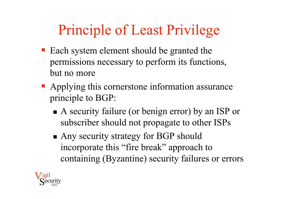# Principle of Least Privilege

- Each system element should be granted the permissions necessary to perform its functions, but no more
- Applying this cornerstone information assurance principle to BGP:
	- A security failure (or benign error) by an ISP or subscriber should not propagate to other ISPs
	- Any security strategy for BGP should incorporate this "fire break" approach to containing (Byzantine) security failures or errors

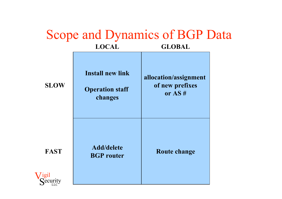|             |                                                              | <b>Scope and Dynamics of BGP Data</b>                |  |
|-------------|--------------------------------------------------------------|------------------------------------------------------|--|
|             | <b>LOCAL</b>                                                 | <b>GLOBAL</b>                                        |  |
| <b>SLOW</b> | <b>Install new link</b><br><b>Operation staff</b><br>changes | allocation/assignment<br>of new prefixes<br>or $AS#$ |  |
| <b>FAST</b> | <b>Add/delete</b><br><b>BGP</b> router                       | <b>Route change</b>                                  |  |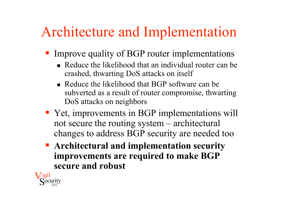## Architecture and Implementation

- Improve quality of BGP router implementations
	- Reduce the likelihood that an individual router can be crashed, thwarting DoS attacks on itself
	- Reduce the likelihood that BGP software can be subverted as a result of router compromise, thwarting DoS attacks on neighbors
- Yet, improvements in BGP implementations will not secure the routing system – architectural changes to address BGP security are needed too
- **Architectural and implementation security improvements are required to make BGP secure and robust**

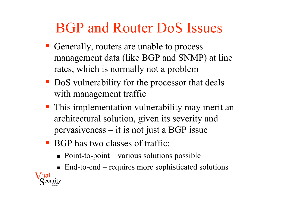## BGP and Router DoS Issues

- Generally, routers are unable to process management data (like BGP and SNMP) at line rates, which is normally not a problem
- DoS vulnerability for the processor that deals with management traffic
- **This implementation vulnerability may merit an** architectural solution, given its severity and pervasiveness – it is not just a BGP issue
- **BGP** has two classes of traffic:
	- $\blacksquare$  Point-to-point various solutions possible
	- $\blacksquare$  End-to-end requires more sophisticated solutions

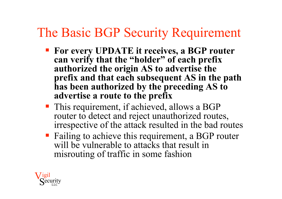#### The Basic BGP Security Requirement

- **For every UPDATE it receives, a BGP router can verify that the "holder" of each prefix authorized the origin AS to advertise the prefix and that each subsequent AS in the path has been authorized by the preceding AS to advertise a route to the prefix**
- This requirement, if achieved, allows a BGP router to detect and reject unauthorized routes, irrespective of the attack resulted in the bad routes
- **Failing to achieve this requirement, a BGP router** will be vulnerable to attacks that result in misrouting of traffic in some fashion

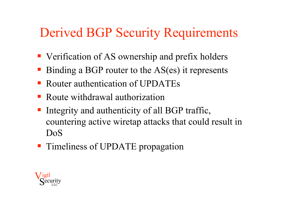#### Derived BGP Security Requirements

- Verification of AS ownership and prefix holders
- Binding a BGP router to the AS(es) it represents
- Router authentication of UPDATEs
- Route withdrawal authorization
- Integrity and authenticity of all BGP traffic, countering active wiretap attacks that could result in DoS
- **Timeliness of UPDATE propagation**

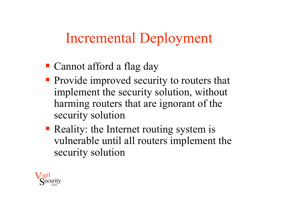### Incremental Deployment

- Cannot afford a flag day
- **Provide improved security to routers that** implement the security solution, without harming routers that are ignorant of the security solution
- Reality: the Internet routing system is vulnerable until all routers implement the security solution

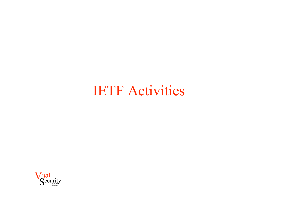#### IETF Activities

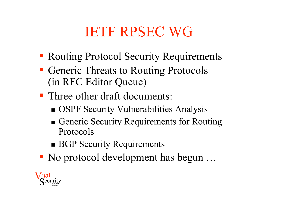## IETF RPSEC WG

- **Routing Protocol Security Requirements**
- **Generic Threats to Routing Protocols** (in RFC Editor Queue)
- Three other draft documents:
	- **SECULTER SECULTER SECULTER** Vulnerabilities Analysis
	- Generic Security Requirements for Routing Protocols
	- **BGP Security Requirements**
- No protocol development has begun ...

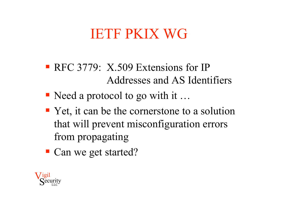### IETF PKIX WG

- RFC 3779: X.509 Extensions for IP Addresses and AS Identifiers
- Need a protocol to go with it ...
- Yet, it can be the cornerstone to a solution that will prevent misconfiguration errors from propagating
- Can we get started?

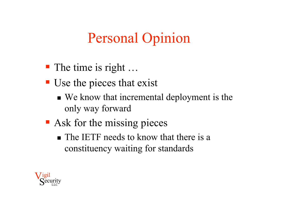## Personal Opinion

- The time is right ...
- Use the pieces that exist
	- We know that incremental deployment is the only way forward
- **Ask for the missing pieces** 
	- The IETF needs to know that there is a constituency waiting for standards